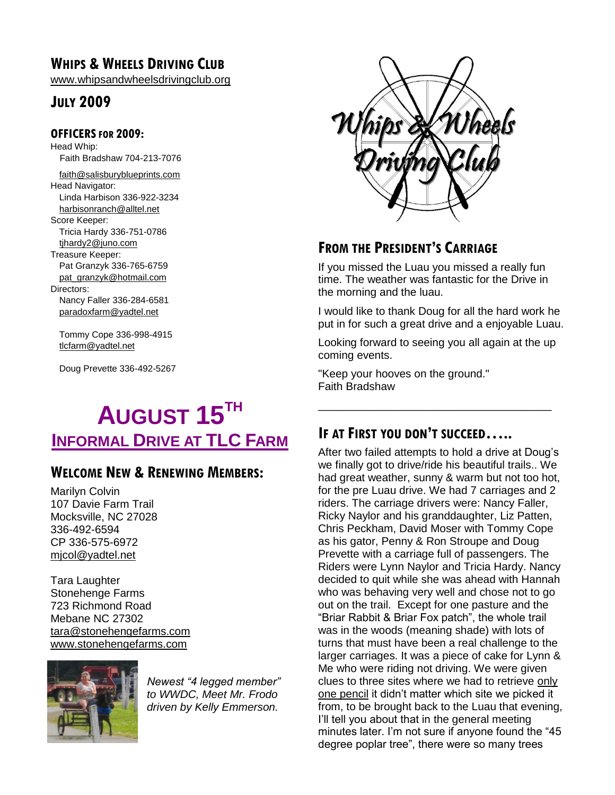## **WHIPS & WHEELS DRIVING CLUB**

[www.whipsandwheelsdrivingclub.org](http://www.whipsandwheelsdrivingclub.org/)

## **JULY 2009**

#### **OFFICERSFOR 2009:**

Head Whip: Faith Bradshaw 704-213-7076

[faith@salisburyblueprints.com](mailto:faith@salisburyblueprints.com) Head Navigator: Linda Harbison 336-922-3234 [harbisonranch@alltel.net](mailto:harbisonranch@alltel.net) Score Keeper:

Tricia Hardy 336-751-0786 [tjhardy2@juno.com](mailto:tjhardy2@juno.com)

Treasure Keeper:

Pat Granzyk 336-765-6759 [pat\\_granzyk@hotmail.com](mailto:pat_granzyk@hotmail.com)

Directors:

Nancy Faller 336-284-6581 [paradoxfarm@yadtel.net](mailto:paradoxfarm@yadtel.net)

Tommy Cope 336-998-4915 [tlcfarm@yadtel.net](mailto:tlcfarm@yadtel.net)

Doug Prevette 336-492-5267

## **AUGUST 15TH INFORMAL DRIVE AT TLC FARM**

## **WELCOME NEW & RENEWING MEMBERS:**

Marilyn Colvin 107 Davie Farm Trail Mocksville, NC 27028 336-492-6594 CP 336-575-6972 mjcol@yadtel.net

Tara Laughter Stonehenge Farms 723 Richmond Road Mebane NC 27302 [tara@stonehengefarms.com](mailto:tara@stonehengefarms.com) [www.stonehengefarms.com](http://www.stonehengefarms.com/)



*Newest "4 legged member" to WWDC, Meet Mr. Frodo driven by Kelly Emmerson.*



## **FROM THE PRESIDENT'S CARRIAGE**

If you missed the Luau you missed a really fun time. The weather was fantastic for the Drive in the morning and the luau.

I would like to thank Doug for all the hard work he put in for such a great drive and a enjoyable Luau.

Looking forward to seeing you all again at the up coming events.

\_\_\_\_\_\_\_\_\_\_\_\_\_\_\_\_\_\_\_\_\_\_\_\_\_\_\_\_\_\_\_\_\_\_\_\_\_\_

"Keep your hooves on the ground." Faith Bradshaw

## **IF AT FIRST YOU DON'T SUCCEED…..**

After two failed attempts to hold a drive at Doug's we finally got to drive/ride his beautiful trails.. We had great weather, sunny & warm but not too hot, for the pre Luau drive. We had 7 carriages and 2 riders. The carriage drivers were: Nancy Faller, Ricky Naylor and his granddaughter, Liz Patten, Chris Peckham, David Moser with Tommy Cope as his gator, Penny & Ron Stroupe and Doug Prevette with a carriage full of passengers. The Riders were Lynn Naylor and Tricia Hardy. Nancy decided to quit while she was ahead with Hannah who was behaving very well and chose not to go out on the trail. Except for one pasture and the "Briar Rabbit & Briar Fox patch", the whole trail was in the woods (meaning shade) with lots of turns that must have been a real challenge to the larger carriages. It was a piece of cake for Lynn & Me who were riding not driving. We were given clues to three sites where we had to retrieve only one pencil it didn't matter which site we picked it from, to be brought back to the Luau that evening, I'll tell you about that in the general meeting minutes later. I'm not sure if anyone found the "45 degree poplar tree", there were so many trees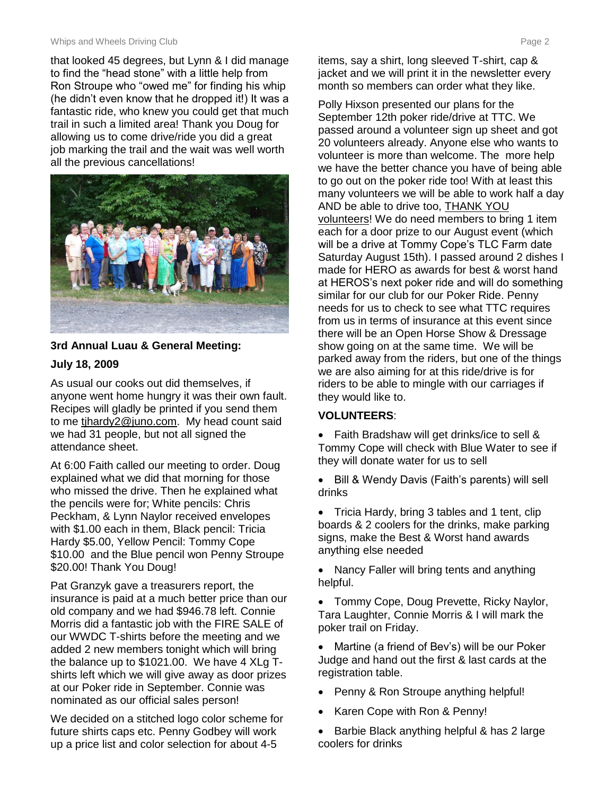#### Whips and Wheels Driving Club **Page 2** and Wheels Driving Club **Page 2**

that looked 45 degrees, but Lynn & I did manage to find the "head stone" with a little help from Ron Stroupe who "owed me" for finding his whip (he didn't even know that he dropped it!) It was a fantastic ride, who knew you could get that much trail in such a limited area! Thank you Doug for allowing us to come drive/ride you did a great job marking the trail and the wait was well worth all the previous cancellations!



#### **3rd Annual Luau & General Meeting:**

#### **July 18, 2009**

As usual our cooks out did themselves, if anyone went home hungry it was their own fault. Recipes will gladly be printed if you send them to me tjhardy2@juno.com. My head count said we had 31 people, but not all signed the attendance sheet.

At 6:00 Faith called our meeting to order. Doug explained what we did that morning for those who missed the drive. Then he explained what the pencils were for; White pencils: Chris Peckham, & Lynn Naylor received envelopes with \$1.00 each in them, Black pencil: Tricia Hardy \$5.00, Yellow Pencil: Tommy Cope \$10.00 and the Blue pencil won Penny Stroupe \$20.00! Thank You Doug!

Pat Granzyk gave a treasurers report, the insurance is paid at a much better price than our old company and we had \$946.78 left. Connie Morris did a fantastic job with the FIRE SALE of our WWDC T-shirts before the meeting and we added 2 new members tonight which will bring the balance up to \$1021.00. We have 4 XLg Tshirts left which we will give away as door prizes at our Poker ride in September. Connie was nominated as our official sales person!

We decided on a stitched logo color scheme for future shirts caps etc. Penny Godbey will work up a price list and color selection for about 4-5

items, say a shirt, long sleeved T-shirt, cap & jacket and we will print it in the newsletter every month so members can order what they like.

Polly Hixson presented our plans for the September 12th poker ride/drive at TTC. We passed around a volunteer sign up sheet and got 20 volunteers already. Anyone else who wants to volunteer is more than welcome. The more help we have the better chance you have of being able to go out on the poker ride too! With at least this many volunteers we will be able to work half a day AND be able to drive too, THANK YOU volunteers! We do need members to bring 1 item each for a door prize to our August event (which will be a drive at Tommy Cope's TLC Farm date Saturday August 15th). I passed around 2 dishes I made for HERO as awards for best & worst hand at HEROS's next poker ride and will do something similar for our club for our Poker Ride. Penny needs for us to check to see what TTC requires from us in terms of insurance at this event since there will be an Open Horse Show & Dressage show going on at the same time. We will be parked away from the riders, but one of the things we are also aiming for at this ride/drive is for riders to be able to mingle with our carriages if they would like to.

#### **VOLUNTEERS**:

- Faith Bradshaw will get drinks/ice to sell & Tommy Cope will check with Blue Water to see if they will donate water for us to sell
- Bill & Wendy Davis (Faith's parents) will sell drinks
- Tricia Hardy, bring 3 tables and 1 tent, clip boards & 2 coolers for the drinks, make parking signs, make the Best & Worst hand awards anything else needed
- Nancy Faller will bring tents and anything helpful.
- Tommy Cope, Doug Prevette, Ricky Naylor, Tara Laughter, Connie Morris & I will mark the poker trail on Friday.
- Martine (a friend of Bev's) will be our Poker Judge and hand out the first & last cards at the registration table.
- Penny & Ron Stroupe anything helpful!
- Karen Cope with Ron & Penny!
- Barbie Black anything helpful & has 2 large coolers for drinks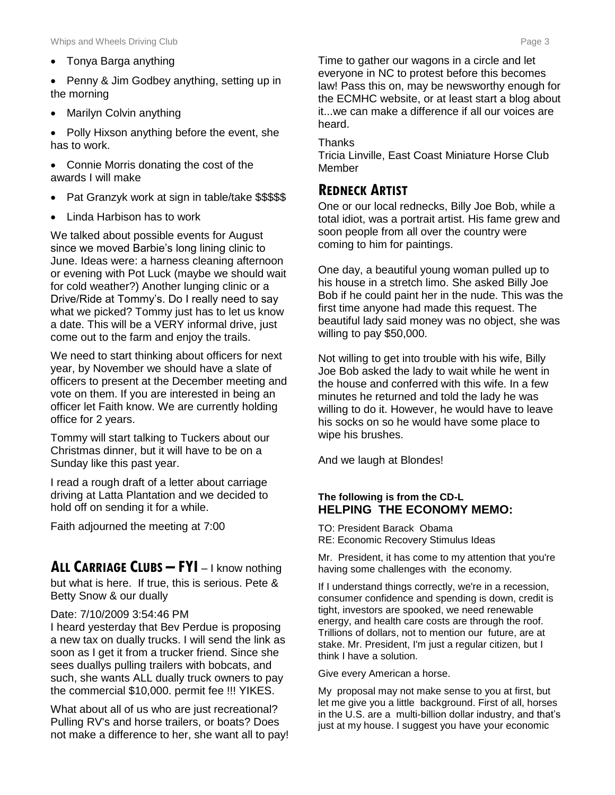Tonya Barga anything

• Penny & Jim Godbey anything, setting up in the morning

Marilyn Colvin anything

• Polly Hixson anything before the event, she has to work.

 Connie Morris donating the cost of the awards I will make

- Pat Granzyk work at sign in table/take \$\$\$\$\$
- Linda Harbison has to work

We talked about possible events for August since we moved Barbie's long lining clinic to June. Ideas were: a harness cleaning afternoon or evening with Pot Luck (maybe we should wait for cold weather?) Another lunging clinic or a Drive/Ride at Tommy's. Do I really need to say what we picked? Tommy just has to let us know a date. This will be a VERY informal drive, just come out to the farm and enjoy the trails.

We need to start thinking about officers for next year, by November we should have a slate of officers to present at the December meeting and vote on them. If you are interested in being an officer let Faith know. We are currently holding office for 2 years.

Tommy will start talking to Tuckers about our Christmas dinner, but it will have to be on a Sunday like this past year.

I read a rough draft of a letter about carriage driving at Latta Plantation and we decided to hold off on sending it for a while.

Faith adjourned the meeting at 7:00

### **ALL CARRIAGE CLUBS – FYI** – I know nothing

but what is here. If true, this is serious. Pete & Betty Snow & our dually

#### Date: 7/10/2009 3:54:46 PM

I heard yesterday that Bev Perdue is proposing a new tax on dually trucks. I will send the link as soon as I get it from a trucker friend. Since she sees duallys pulling trailers with bobcats, and such, she wants ALL dually truck owners to pay the commercial \$10,000. permit fee !!! YIKES.

What about all of us who are just recreational? Pulling RV's and horse trailers, or boats? Does not make a difference to her, she want all to pay!

Time to gather our wagons in a circle and let everyone in NC to protest before this becomes law! Pass this on, may be newsworthy enough for the ECMHC website, or at least start a blog about it...we can make a difference if all our voices are heard.

**Thanks** 

Tricia Linville, East Coast Miniature Horse Club Member

#### **REDNECK ARTIST**

One or our local rednecks, Billy Joe Bob, while a total idiot, was a portrait artist. His fame grew and soon people from all over the country were coming to him for paintings.

One day, a beautiful young woman pulled up to his house in a stretch limo. She asked Billy Joe Bob if he could paint her in the nude. This was the first time anyone had made this request. The beautiful lady said money was no object, she was willing to pay \$50,000.

Not willing to get into trouble with his wife, Billy Joe Bob asked the lady to wait while he went in the house and conferred with this wife. In a few minutes he returned and told the lady he was willing to do it. However, he would have to leave his socks on so he would have some place to wipe his brushes.

And we laugh at Blondes!

#### **The following is from the CD-L HELPING THE ECONOMY MEMO:**

TO: President Barack Obama RE: Economic Recovery Stimulus Ideas

Mr. President, it has come to my attention that you're having some challenges with the economy.

If I understand things correctly, we're in a recession, consumer confidence and spending is down, credit is tight, investors are spooked, we need renewable energy, and health care costs are through the roof. Trillions of dollars, not to mention our future, are at stake. Mr. President, I'm just a regular citizen, but I think I have a solution.

Give every American a horse.

My proposal may not make sense to you at first, but let me give you a little background. First of all, horses in the U.S. are a multi-billion dollar industry, and that's just at my house. I suggest you have your economic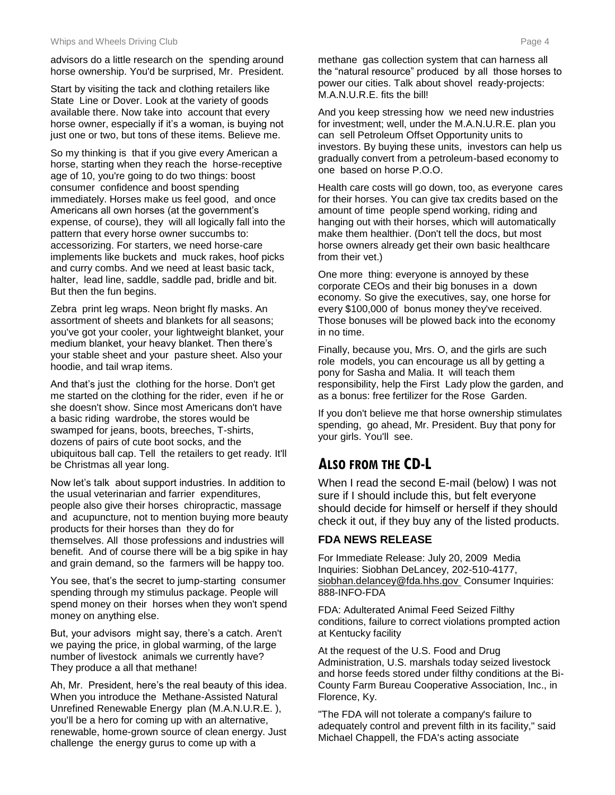advisors do a little research on the spending around horse ownership. You'd be surprised, Mr. President.

Start by visiting the tack and clothing retailers like State Line or Dover. Look at the variety of goods available there. Now take into account that every horse owner, especially if it's a woman, is buying not just one or two, but tons of these items. Believe me.

So my thinking is that if you give every American a horse, starting when they reach the horse-receptive age of 10, you're going to do two things: boost consumer confidence and boost spending immediately. Horses make us feel good, and once Americans all own horses (at the government's expense, of course), they will all logically fall into the pattern that every horse owner succumbs to: accessorizing. For starters, we need horse-care implements like buckets and muck rakes, hoof picks and curry combs. And we need at least basic tack, halter, lead line, saddle, saddle pad, bridle and bit. But then the fun begins.

Zebra print leg wraps. Neon bright fly masks. An assortment of sheets and blankets for all seasons; you've got your cooler, your lightweight blanket, your medium blanket, your heavy blanket. Then there's your stable sheet and your pasture sheet. Also your hoodie, and tail wrap items.

And that's just the clothing for the horse. Don't get me started on the clothing for the rider, even if he or she doesn't show. Since most Americans don't have a basic riding wardrobe, the stores would be swamped for jeans, boots, breeches, T-shirts, dozens of pairs of cute boot socks, and the ubiquitous ball cap. Tell the retailers to get ready. It'll be Christmas all year long.

Now let's talk about support industries. In addition to the usual veterinarian and farrier expenditures, people also give their horses chiropractic, massage and acupuncture, not to mention buying more beauty products for their horses than they do for themselves. All those professions and industries will benefit. And of course there will be a big spike in hay and grain demand, so the farmers will be happy too.

You see, that's the secret to jump-starting consumer spending through my stimulus package. People will spend money on their horses when they won't spend money on anything else.

But, your advisors might say, there's a catch. Aren't we paying the price, in global warming, of the large number of livestock animals we currently have? They produce a all that methane!

Ah, Mr. President, here's the real beauty of this idea. When you introduce the Methane-Assisted Natural Unrefined Renewable Energy plan (M.A.N.U.R.E. ), you'll be a hero for coming up with an alternative, renewable, home-grown source of clean energy. Just challenge the energy gurus to come up with a

methane gas collection system that can harness all the "natural resource" produced by all those horses to power our cities. Talk about shovel ready-projects: M.A.N.U.R.E. fits the bill!

And you keep stressing how we need new industries for investment; well, under the M.A.N.U.R.E. plan you can sell Petroleum Offset Opportunity units to investors. By buying these units, investors can help us gradually convert from a petroleum-based economy to one based on horse P.O.O.

Health care costs will go down, too, as everyone cares for their horses. You can give tax credits based on the amount of time people spend working, riding and hanging out with their horses, which will automatically make them healthier. (Don't tell the docs, but most horse owners already get their own basic healthcare from their vet.)

One more thing: everyone is annoyed by these corporate CEOs and their big bonuses in a down economy. So give the executives, say, one horse for every \$100,000 of bonus money they've received. Those bonuses will be plowed back into the economy in no time.

Finally, because you, Mrs. O, and the girls are such role models, you can encourage us all by getting a pony for Sasha and Malia. It will teach them responsibility, help the First Lady plow the garden, and as a bonus: free fertilizer for the Rose Garden.

If you don't believe me that horse ownership stimulates spending, go ahead, Mr. President. Buy that pony for your girls. You'll see.

## **ALSO FROM THE CD-L**

When I read the second E-mail (below) I was not sure if I should include this, but felt everyone should decide for himself or herself if they should check it out, if they buy any of the listed products.

#### **FDA NEWS RELEASE**

For Immediate Release: July 20, 2009 Media Inquiries: Siobhan DeLancey, 202-510-4177, siobhan.delancey@fda.hhs.gov Consumer Inquiries: 888-INFO-FDA

FDA: Adulterated Animal Feed Seized Filthy conditions, failure to correct violations prompted action at Kentucky facility

At the request of the U.S. Food and Drug Administration, U.S. marshals today seized livestock and horse feeds stored under filthy conditions at the Bi-County Farm Bureau Cooperative Association, Inc., in Florence, Ky.

"The FDA will not tolerate a company's failure to adequately control and prevent filth in its facility," said Michael Chappell, the FDA's acting associate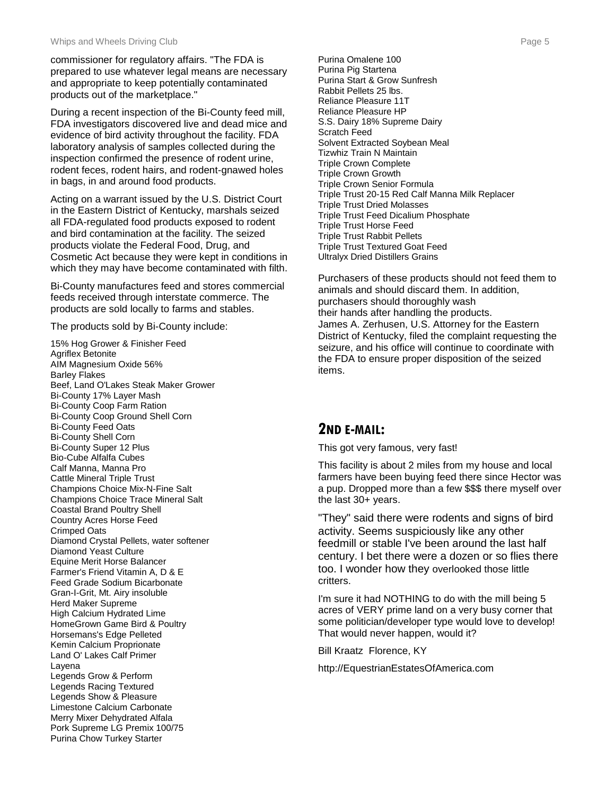commissioner for regulatory affairs. "The FDA is prepared to use whatever legal means are necessary and appropriate to keep potentially contaminated products out of the marketplace."

During a recent inspection of the Bi-County feed mill, FDA investigators discovered live and dead mice and evidence of bird activity throughout the facility. FDA laboratory analysis of samples collected during the inspection confirmed the presence of rodent urine, rodent feces, rodent hairs, and rodent-gnawed holes in bags, in and around food products.

Acting on a warrant issued by the U.S. District Court in the Eastern District of Kentucky, marshals seized all FDA-regulated food products exposed to rodent and bird contamination at the facility. The seized products violate the Federal Food, Drug, and Cosmetic Act because they were kept in conditions in which they may have become contaminated with filth.

Bi-County manufactures feed and stores commercial feeds received through interstate commerce. The products are sold locally to farms and stables.

The products sold by Bi-County include:

15% Hog Grower & Finisher Feed Agriflex Betonite AIM Magnesium Oxide 56% Barley Flakes Beef, Land O'Lakes Steak Maker Grower Bi-County 17% Layer Mash Bi-County Coop Farm Ration Bi-County Coop Ground Shell Corn Bi-County Feed Oats Bi-County Shell Corn Bi-County Super 12 Plus Bio-Cube Alfalfa Cubes Calf Manna, Manna Pro Cattle Mineral Triple Trust Champions Choice Mix-N-Fine Salt Champions Choice Trace Mineral Salt Coastal Brand Poultry Shell Country Acres Horse Feed Crimped Oats Diamond Crystal Pellets, water softener Diamond Yeast Culture Equine Merit Horse Balancer Farmer's Friend Vitamin A, D & E Feed Grade Sodium Bicarbonate Gran-I-Grit, Mt. Airy insoluble Herd Maker Supreme High Calcium Hydrated Lime HomeGrown Game Bird & Poultry Horsemans's Edge Pelleted Kemin Calcium Proprionate Land O' Lakes Calf Primer Layena Legends Grow & Perform Legends Racing Textured Legends Show & Pleasure Limestone Calcium Carbonate Merry Mixer Dehydrated Alfala Pork Supreme LG Premix 100/75 Purina Chow Turkey Starter

Purina Omalene 100 Purina Pig Startena Purina Start & Grow Sunfresh Rabbit Pellets 25 lbs. Reliance Pleasure 11T Reliance Pleasure HP S.S. Dairy 18% Supreme Dairy Scratch Feed Solvent Extracted Soybean Meal Tizwhiz Train N Maintain Triple Crown Complete Triple Crown Growth Triple Crown Senior Formula Triple Trust 20-15 Red Calf Manna Milk Replacer Triple Trust Dried Molasses Triple Trust Feed Dicalium Phosphate Triple Trust Horse Feed Triple Trust Rabbit Pellets Triple Trust Textured Goat Feed Ultralyx Dried Distillers Grains

Purchasers of these products should not feed them to animals and should discard them. In addition, purchasers should thoroughly wash their hands after handling the products. James A. Zerhusen, U.S. Attorney for the Eastern District of Kentucky, filed the complaint requesting the seizure, and his office will continue to coordinate with the FDA to ensure proper disposition of the seized items.

### **2ND E-MAIL:**

This got very famous, very fast!

This facility is about 2 miles from my house and local farmers have been buying feed there since Hector was a pup. Dropped more than a few \$\$\$ there myself over the last 30+ years.

"They" said there were rodents and signs of bird activity. Seems suspiciously like any other feedmill or stable I've been around the last half century. I bet there were a dozen or so flies there too. I wonder how they overlooked those little critters.

I'm sure it had NOTHING to do with the mill being 5 acres of VERY prime land on a very busy corner that some politician/developer type would love to develop! That would never happen, would it?

Bill Kraatz Florence, KY

http://EquestrianEstatesOfAmerica.com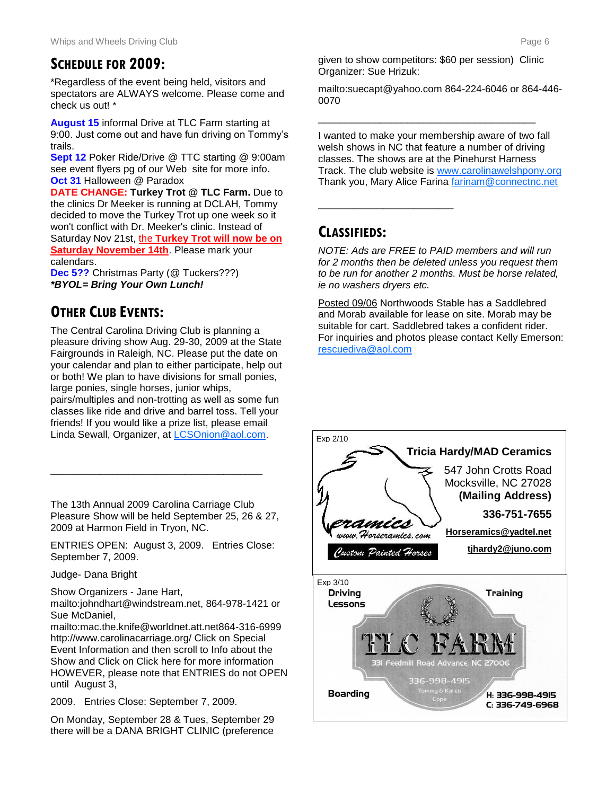### **SCHEDULE FOR 2009:**

\*Regardless of the event being held, visitors and spectators are ALWAYS welcome. Please come and check us out! \*

**August 15** informal Drive at TLC Farm starting at 9:00. Just come out and have fun driving on Tommy's trails.

**Sept 12** Poker Ride/Drive @ TTC starting @ 9:00am see event flyers pg of our Web site for more info. **Oct 31** Halloween @ Paradox

**DATE CHANGE: Turkey Trot @ TLC Farm.** Due to the clinics Dr Meeker is running at DCLAH, Tommy decided to move the Turkey Trot up one week so it won't conflict with Dr. Meeker's clinic. Instead of Saturday Nov 21st, the **Turkey Trot will now be on Saturday November 14th**. Please mark your calendars.

**Dec 5??** Christmas Party (@ Tuckers???) *\*BYOL= Bring Your Own Lunch!* 

## **OTHER CLUB EVENTS:**

The Central Carolina Driving Club is planning a pleasure driving show Aug. 29-30, 2009 at the State Fairgrounds in Raleigh, NC. Please put the date on your calendar and plan to either participate, help out or both! We plan to have divisions for small ponies, large ponies, single horses, junior whips,

pairs/multiples and non-trotting as well as some fun classes like ride and drive and barrel toss. Tell your friends! If you would like a prize list, please email Linda Sewall, Organizer, at [LCSOnion@aol.com.](mailto:LCSOnion@aol.com)

The 13th Annual 2009 Carolina Carriage Club Pleasure Show will be held September 25, 26 & 27, 2009 at Harmon Field in Tryon, NC.

\_\_\_\_\_\_\_\_\_\_\_\_\_\_\_\_\_\_\_\_\_\_\_\_\_\_\_\_\_\_\_\_\_\_\_\_\_\_

ENTRIES OPEN: August 3, 2009. Entries Close: September 7, 2009.

Judge- Dana Bright

Show Organizers - Jane Hart,

mailto:johndhart@windstream.net, 864-978-1421 or Sue McDaniel,

mailto:mac.the.knife@worldnet.att.net864-316-6999 http://www.carolinacarriage.org/ Click on Special Event Information and then scroll to Info about the Show and Click on Click here for more information HOWEVER, please note that ENTRIES do not OPEN until August 3,

2009. Entries Close: September 7, 2009.

On Monday, September 28 & Tues, September 29 there will be a DANA BRIGHT CLINIC (preference

given to show competitors: \$60 per session) Clinic Organizer: Sue Hrizuk:

\_\_\_\_\_\_\_\_\_\_\_\_\_\_\_\_\_\_\_\_\_\_\_\_\_\_\_\_\_\_\_\_\_\_\_\_\_\_\_

mailto:suecapt@yahoo.com 864-224-6046 or 864-446- 0070

I wanted to make your membership aware of two fall welsh shows in NC that feature a number of driving classes. The shows are at the Pinehurst Harness Track. The club website is [www.carolinawelshpony.org](http://www.carolinawelshpony.org/)  Thank you, Mary Alice Farina [farinam@connectnc.net](mailto:farinam@connectnc.net)

## **CLASSIFIEDS:**

**\_\_\_\_\_\_\_\_\_\_\_\_\_\_\_\_\_\_\_\_\_\_\_\_\_\_\_**

*NOTE: Ads are FREE to PAID members and will run for 2 months then be deleted unless you request them to be run for another 2 months. Must be horse related, ie no washers dryers etc.*

Posted 09/06 Northwoods Stable has a Saddlebred and Morab available for lease on site. Morab may be suitable for cart. Saddlebred takes a confident rider. For inquiries and photos please contact Kelly Emerson: [rescuediva@aol.com](mailto:rescuediva@aol.com)

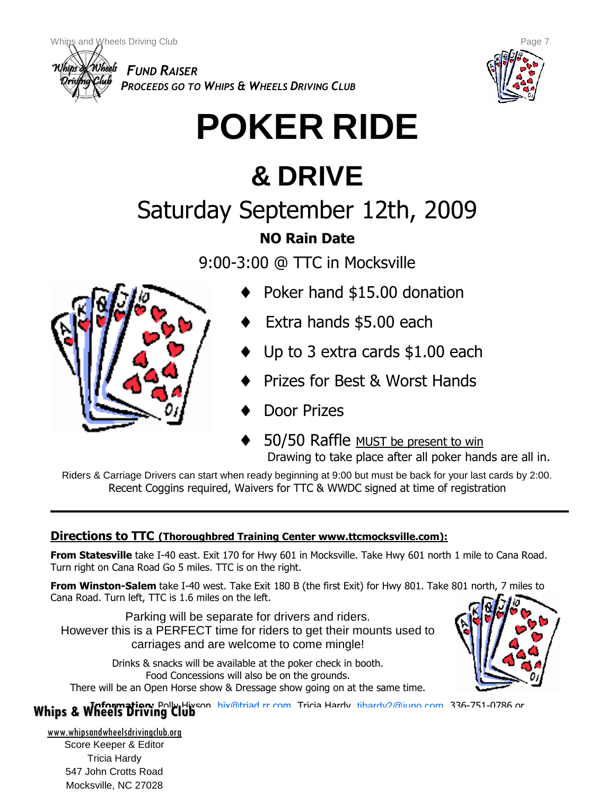

*PROCEEDS GO TO WHIPS & WHEELS DRIVING CLUB*



# **POKER RIDE**

## **& DRIVE**

## Saturday September 12th, 2009

## **NO Rain Date**

9:00-3:00 @ TTC in Mocksville



- Poker hand \$15.00 donation
- Extra hands \$5.00 each
- Up to 3 extra cards \$1.00 each
- Prizes for Best & Worst Hands
- Door Prizes
- 50/50 Raffle MUST be present to win Drawing to take place after all poker hands are all in.

Riders & Carriage Drivers can start when ready beginning at 9:00 but must be back for your last cards by 2:00. Recent Coggins required, Waivers for TTC & WWDC signed at time of registration

## **Directions to TTC (Thoroughbred Training Center www.ttcmocksville.com):**

**From Statesville** take I-40 east. Exit 170 for Hwy 601 in Mocksville. Take Hwy 601 north 1 mile to Cana Road. Turn right on Cana Road Go 5 miles. TTC is on the right.

**From Winston-Salem** take I-40 west. Take Exit 180 B (the first Exit) for Hwy 801. Take 801 north, 7 miles to Cana Road. Turn left, TTC is 1.6 miles on the left.

Parking will be separate for drivers and riders. However this is a PERFECT time for riders to get their mounts used to carriages and are welcome to come mingle!

Drinks & snacks will be available at the poker check in booth. Food Concessions will also be on the grounds. There will be an Open Horse show & Dressage show going on at the same time.



**Information:** Polly Hisson, hiv@triad.rr.com, Tricia Hardy, tihardy2@juno.com, 336-751-0786 or

www.whipsandwheelsdrivingclub.org Score Keeper & Editor Tricia Hardy 547 John Crotts Road Mocksville, NC 27028